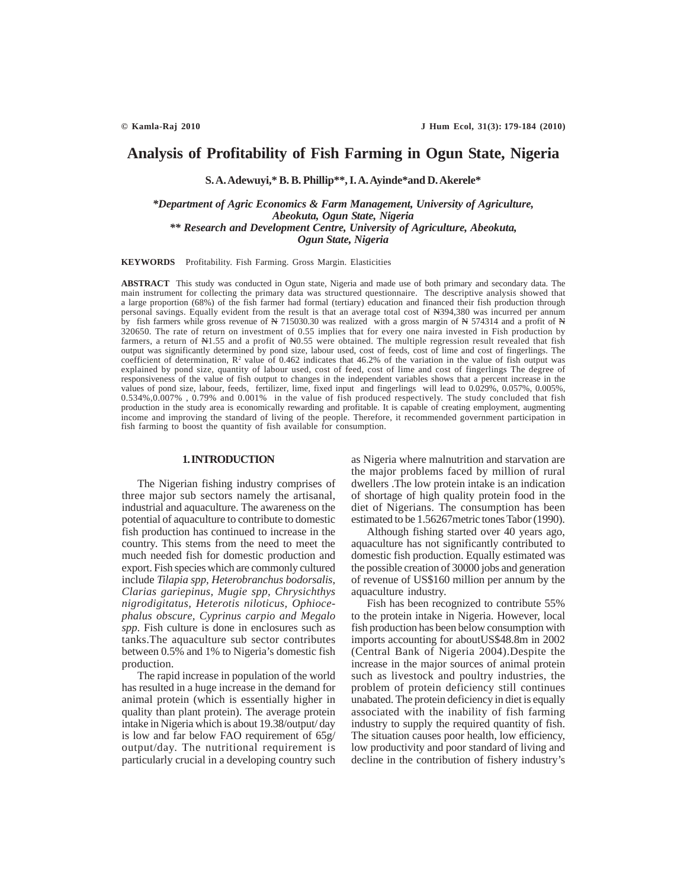# **Analysis of Profitability of Fish Farming in Ogun State, Nigeria**

**S. A. Adewuyi,\* B. B. Phillip\*\*, I. A. Ayinde\*and D. Akerele\***

*\*Department of Agric Economics & Farm Management, University of Agriculture, Abeokuta, Ogun State, Nigeria \*\* Research and Development Centre, University of Agriculture, Abeokuta, Ogun State, Nigeria*

**KEYWORDS** Profitability. Fish Farming. Gross Margin. Elasticities

**ABSTRACT** This study was conducted in Ogun state, Nigeria and made use of both primary and secondary data. The main instrument for collecting the primary data was structured questionnaire. The descriptive analysis showed that a large proportion (68%) of the fish farmer had formal (tertiary) education and financed their fish production through personal savings. Equally evident from the result is that an average total cost of N394,380 was incurred per annum by fish farmers while gross revenue of  $N$  715030.30 was realized with a gross margin of  $N$  574314 and a profit of  $N$ 320650. The rate of return on investment of 0.55 implies that for every one naira invested in Fish production by farmers, a return of N1.55 and a profit of N0.55 were obtained. The multiple regression result revealed that fish output was significantly determined by pond size, labour used, cost of feeds, cost of lime and cost of fingerlings. The coefficient of determination,  $\mathbb{R}^2$  value of 0.462 indicates that 46.2% of the variation in the value of fish output was explained by pond size, quantity of labour used, cost of feed, cost of lime and cost of fingerlings The degree of responsiveness of the value of fish output to changes in the independent variables shows that a percent increase in the values of pond size, labour, feeds, fertilizer, lime, fixed input and fingerlings will lead to 0.029%, 0.057%, 0.005%, 0.534%,0.007% , 0.79% and 0.001% in the value of fish produced respectively. The study concluded that fish production in the study area is economically rewarding and profitable. It is capable of creating employment, augmenting income and improving the standard of living of the people. Therefore, it recommended government participation in fish farming to boost the quantity of fish available for consumption.

#### **1. INTRODUCTION**

The Nigerian fishing industry comprises of three major sub sectors namely the artisanal, industrial and aquaculture. The awareness on the potential of aquaculture to contribute to domestic fish production has continued to increase in the country. This stems from the need to meet the much needed fish for domestic production and export. Fish species which are commonly cultured include *Tilapia spp, Heterobranchus bodorsalis*, *Clarias gariepinus, Mugie spp, Chrysichthys nigrodigitatus, Heterotis niloticus, Ophiocephalus obscure, Cyprinus carpio and Megalo spp*. Fish culture is done in enclosures such as tanks.The aquaculture sub sector contributes between 0.5% and 1% to Nigeria's domestic fish production.

The rapid increase in population of the world has resulted in a huge increase in the demand for animal protein (which is essentially higher in quality than plant protein). The average protein intake in Nigeria which is about 19.38/output/ day is low and far below FAO requirement of 65g/ output/day. The nutritional requirement is particularly crucial in a developing country such as Nigeria where malnutrition and starvation are the major problems faced by million of rural dwellers .The low protein intake is an indication of shortage of high quality protein food in the diet of Nigerians. The consumption has been estimated to be 1.56267metric tones Tabor (1990).

Although fishing started over 40 years ago, aquaculture has not significantly contributed to domestic fish production. Equally estimated was the possible creation of 30000 jobs and generation of revenue of US\$160 million per annum by the aquaculture industry.

Fish has been recognized to contribute 55% to the protein intake in Nigeria. However, local fish production has been below consumption with imports accounting for aboutUS\$48.8m in 2002 (Central Bank of Nigeria 2004).Despite the increase in the major sources of animal protein such as livestock and poultry industries, the problem of protein deficiency still continues unabated. The protein deficiency in diet is equally associated with the inability of fish farming industry to supply the required quantity of fish. The situation causes poor health, low efficiency, low productivity and poor standard of living and decline in the contribution of fishery industry's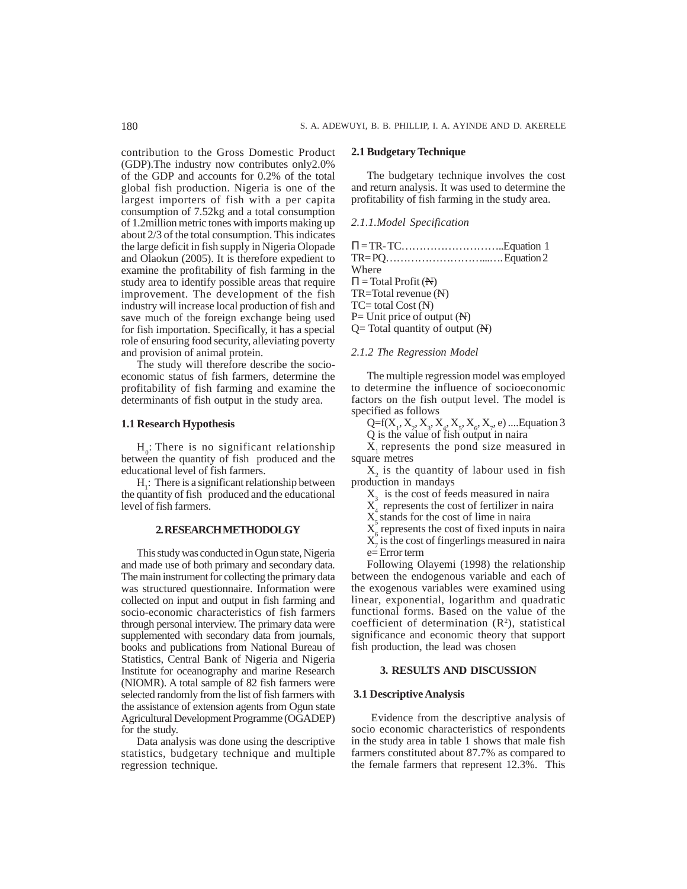contribution to the Gross Domestic Product (GDP).The industry now contributes only2.0% of the GDP and accounts for 0.2% of the total global fish production. Nigeria is one of the largest importers of fish with a per capita consumption of 7.52kg and a total consumption of 1.2million metric tones with imports making up about 2/3 of the total consumption. This indicates the large deficit in fish supply in Nigeria Olopade and Olaokun (2005). It is therefore expedient to examine the profitability of fish farming in the study area to identify possible areas that require improvement. The development of the fish industry will increase local production of fish and save much of the foreign exchange being used for fish importation. Specifically, it has a special role of ensuring food security, alleviating poverty and provision of animal protein.

The study will therefore describe the socioeconomic status of fish farmers, determine the profitability of fish farming and examine the determinants of fish output in the study area.

## **1.1 Research Hypothesis**

 $H_0$ : There is no significant relationship between the quantity of fish produced and the educational level of fish farmers.

 $H_1$ : There is a significant relationship between the quantity of fish produced and the educational level of fish farmers.

#### **2. RESEARCH METHODOLGY**

This study was conducted in Ogun state, Nigeria and made use of both primary and secondary data. The main instrument for collecting the primary data was structured questionnaire. Information were collected on input and output in fish farming and socio-economic characteristics of fish farmers through personal interview. The primary data were supplemented with secondary data from journals, books and publications from National Bureau of Statistics, Central Bank of Nigeria and Nigeria Institute for oceanography and marine Research (NIOMR). A total sample of 82 fish farmers were selected randomly from the list of fish farmers with the assistance of extension agents from Ogun state Agricultural Development Programme (OGADEP) for the study.

Data analysis was done using the descriptive statistics, budgetary technique and multiple regression technique.

## **2.1 Budgetary Technique**

The budgetary technique involves the cost and return analysis. It was used to determine the profitability of fish farming in the study area.

## *2.1.1.Model Specification*

| $\Pi = TR - TC \dots \dots \dots \dots \dots \dots \dots \dots \dots \dots$ |  |
|-----------------------------------------------------------------------------|--|
|                                                                             |  |
| Where                                                                       |  |
| $\Pi$ = Total Profit (N)                                                    |  |
| $TR = Total revenue (N)$                                                    |  |
| $TC = total Cost (N)$                                                       |  |
| $P=$ Unit price of output $(N)$                                             |  |
| $Q=$ Total quantity of output $(N)$                                         |  |
|                                                                             |  |

## *2.1.2 The Regression Model*

The multiple regression model was employed to determine the influence of socioeconomic factors on the fish output level. The model is specified as follows

Q=f(X<sub>1</sub>, X<sub>2</sub>, X<sub>3</sub>, X<sub>4</sub>, X<sub>5</sub>, X<sub>6</sub>, X<sub>7</sub>, e) ....Equation 3

Q is the value of fish output in naira

X<sub>1</sub> represents the pond size measured in square metres

 $X_2$  is the quantity of labour used in fish production in mandays

 $X<sub>3</sub>$  is the cost of feeds measured in naira

 $X_4$  represents the cost of fertilizer in naira

 $X<sub>s</sub>$  stands for the cost of lime in naira

 $X_6$  represents the cost of fixed inputs in naira

 $X_7$  is the cost of fingerlings measured in naira

e= Error term

Following Olayemi (1998) the relationship between the endogenous variable and each of the exogenous variables were examined using linear, exponential, logarithm and quadratic functional forms. Based on the value of the coefficient of determination  $(R^2)$ , statistical significance and economic theory that support fish production, the lead was chosen

## **3. RESULTS AND DISCUSSION**

## **3.1 Descriptive Analysis**

 Evidence from the descriptive analysis of socio economic characteristics of respondents in the study area in table 1 shows that male fish farmers constituted about 87.7% as compared to the female farmers that represent 12.3%. This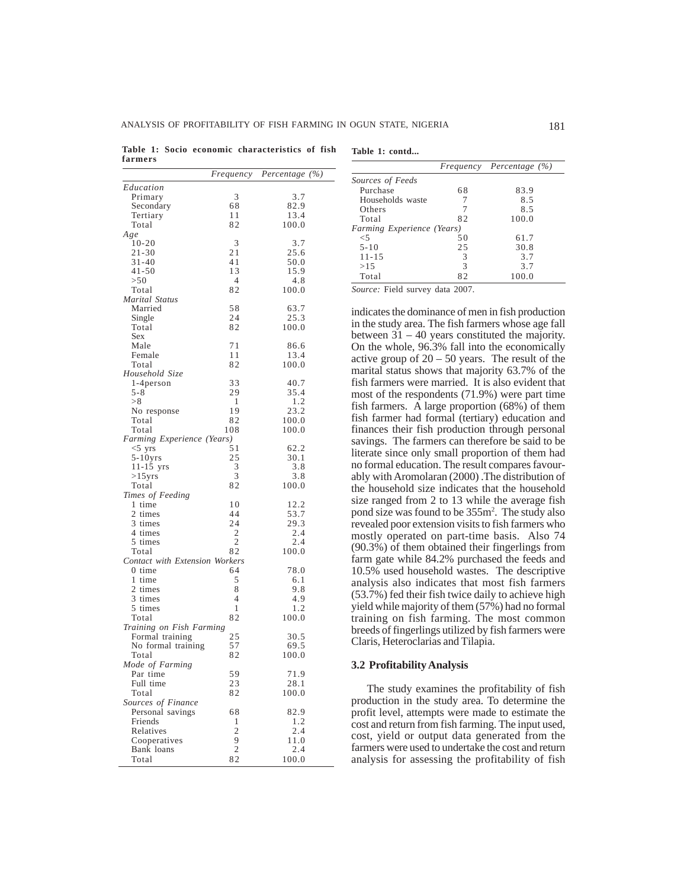**Table 1: Socio economic characteristics of fish farmers**

|                                          | Frequency           | Percentage $(\%)$ |
|------------------------------------------|---------------------|-------------------|
| Education                                |                     |                   |
| Primary                                  | 3                   | 3.7               |
| Secondary                                | 68                  | 82.9              |
| Tertiary                                 | 11                  | 13.4              |
| Total                                    | 82                  | 100.0             |
| Age                                      |                     |                   |
| $10 - 20$                                | 3                   | 3.7               |
| $21 - 30$                                | 21                  | 25.6              |
| 31-40                                    | 41                  | 50.0              |
| 41-50                                    | 13                  | 15.9              |
| > 50<br>Total                            | 4<br>82             | 4.8<br>100.0      |
| Marital Status                           |                     |                   |
| Married                                  | 58                  | 63.7              |
| Single                                   | 24                  | 25.3              |
| Total                                    | 82                  | 100.0             |
| Sex                                      |                     |                   |
| Male                                     | 71                  | 86.6              |
| Female                                   | 11                  | 13.4              |
| Total                                    | 82                  | 100.0             |
| Household Size                           |                     |                   |
| 1-4 person                               | 33                  | 40.7              |
| 5-8                                      | 29                  | 35.4              |
| > 8                                      | 1                   | 1.2               |
| No response<br>Total                     | 19<br>82            | 23.2<br>100.0     |
| Total                                    | 108                 | 100.0             |
| Farming Experience (Years)               |                     |                   |
| $<$ 5 yrs                                | 51                  | 62.2              |
| $5-10yrs$                                | 25                  | 30.1              |
| $11 - 15$ yrs                            | 3                   | 3.8               |
| $>15$ yrs                                | 3                   | 3.8               |
| Total                                    | 82                  | 100.0             |
| Times of Feeding                         |                     |                   |
| 1 time                                   | 10                  | 12.2              |
| 2 times                                  | 44                  | 53.7              |
| 3 times                                  | 24                  | 29.3              |
| 4 times                                  | 2                   | 2.4               |
| 5 times                                  | $\overline{2}$      | 2.4               |
| Total                                    | 82                  | 100.0             |
| Contact with Extension Workers<br>0 time | 64                  | 78.0              |
| 1 time                                   | 5                   | 6.1               |
| 2 times                                  | 8                   | 9.8               |
| 3 times                                  | 4                   | 4.9               |
| 5 times                                  | 1                   | 1.2               |
| Total                                    | 82                  | 100.0             |
| Training on Fish Farming                 |                     |                   |
| Formal training                          | 25                  | 30.5              |
| No formal training                       | 57                  | 69.5              |
| Total                                    | 82                  | 100.0             |
| Mode of Farming                          |                     |                   |
| Par time                                 | 59                  | 71.9              |
| Full time                                | 23                  | 28.1              |
| Total                                    | 82                  | 100.0             |
| Sources of Finance                       |                     |                   |
| Personal savings                         | 68                  | 82.9              |
| Friends                                  | 1<br>$\overline{2}$ | 1.2<br>2.4        |
| Relatives                                | 9                   | 11.0              |
| Cooperatives<br>Bank loans               | $\overline{c}$      | 2.4               |
| Total                                    | 82                  | 100.0             |
|                                          |                     |                   |

|  |  | Table 1: contd |
|--|--|----------------|
|--|--|----------------|

|                            |               | Frequency Percentage (%) |
|----------------------------|---------------|--------------------------|
| Sources of Feeds           |               |                          |
| Purchase                   | 68            | 83.9                     |
| Households waste           |               | 8.5                      |
| Others                     |               | 8.5                      |
| Total                      | 82            | 100.0                    |
| Farming Experience (Years) |               |                          |
| $\leq 5$                   | 50            | 61.7                     |
| $5 - 10$                   | 25            | 30.8                     |
| $11 - 15$                  | 3             | 3.7                      |
| >1.5                       | $\mathcal{R}$ | 3.7                      |
| Total                      | 82            | 100.0                    |

*Source:* Field survey data 2007.

indicates the dominance of men in fish production in the study area. The fish farmers whose age fall between 31 – 40 years constituted the majority. On the whole, 96.3% fall into the economically active group of  $20 - 50$  years. The result of the marital status shows that majority 63.7% of the fish farmers were married. It is also evident that most of the respondents (71.9%) were part time fish farmers. A large proportion (68%) of them fish farmer had formal (tertiary) education and finances their fish production through personal savings. The farmers can therefore be said to be literate since only small proportion of them had no formal education. The result compares favourably with Aromolaran (2000) .The distribution of the household size indicates that the household size ranged from 2 to 13 while the average fish pond size was found to be 355m2 . The study also revealed poor extension visits to fish farmers who mostly operated on part-time basis. Also 74 (90.3%) of them obtained their fingerlings from farm gate while 84.2% purchased the feeds and 10.5% used household wastes. The descriptive analysis also indicates that most fish farmers (53.7%) fed their fish twice daily to achieve high yield while majority of them (57%) had no formal training on fish farming. The most common breeds of fingerlings utilized by fish farmers were Claris, Heteroclarias and Tilapia.

#### **3.2 Profitability Analysis**

The study examines the profitability of fish production in the study area. To determine the profit level, attempts were made to estimate the cost and return from fish farming. The input used, cost, yield or output data generated from the farmers were used to undertake the cost and return analysis for assessing the profitability of fish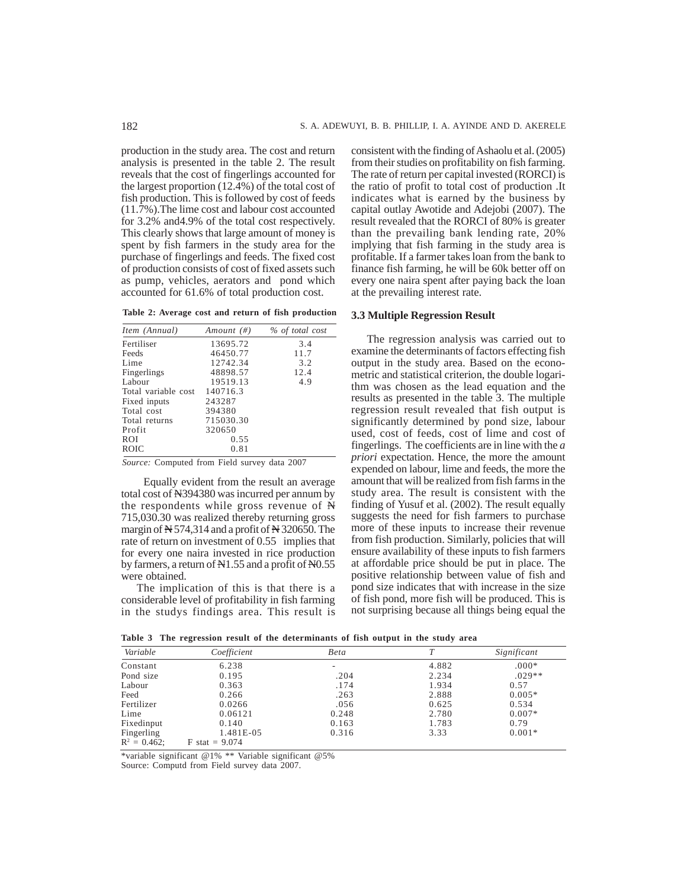production in the study area. The cost and return analysis is presented in the table 2. The result reveals that the cost of fingerlings accounted for the largest proportion (12.4%) of the total cost of fish production. This is followed by cost of feeds (11.7%).The lime cost and labour cost accounted for 3.2% and4.9% of the total cost respectively. This clearly shows that large amount of money is spent by fish farmers in the study area for the purchase of fingerlings and feeds. The fixed cost of production consists of cost of fixed assets such as pump, vehicles, aerators and pond which accounted for 61.6% of total production cost.

**Table 2: Average cost and return of fish production**

| Item (Annual)       | Amount $(\#)$ | % of total cost |
|---------------------|---------------|-----------------|
| Fertiliser          | 13695.72      | 3.4             |
| Feeds               | 46450.77      | 11.7            |
| Lime                | 12742.34      | 3.2             |
| Fingerlings         | 48898.57      | 12.4            |
| Labour              | 19519.13      | 4.9             |
| Total variable cost | 140716.3      |                 |
| Fixed inputs        | 243287        |                 |
| Total cost          | 394380        |                 |
| Total returns       | 715030.30     |                 |
| Profit              | 320650        |                 |
| <b>ROI</b>          | 0.55          |                 |
| <b>ROIC</b>         | 0.81          |                 |
|                     |               |                 |

*Source:* Computed from Field survey data 2007

 Equally evident from the result an average total cost of N394380 was incurred per annum by the respondents while gross revenue of N 715,030.30 was realized thereby returning gross margin of N 574,314 and a profit of N 320650. The rate of return on investment of 0.55 implies that for every one naira invested in rice production by farmers, a return of N1.55 and a profit of N0.55 were obtained.

The implication of this is that there is a considerable level of profitability in fish farming in the studys findings area. This result is consistent with the finding of Ashaolu et al. (2005) from their studies on profitability on fish farming. The rate of return per capital invested (RORCI) is the ratio of profit to total cost of production .It indicates what is earned by the business by capital outlay Awotide and Adejobi (2007). The result revealed that the RORCI of 80% is greater than the prevailing bank lending rate, 20% implying that fish farming in the study area is profitable. If a farmer takes loan from the bank to finance fish farming, he will be 60k better off on every one naira spent after paying back the loan at the prevailing interest rate.

## **3.3 Multiple Regression Result**

The regression analysis was carried out to examine the determinants of factors effecting fish output in the study area. Based on the econometric and statistical criterion, the double logarithm was chosen as the lead equation and the results as presented in the table 3. The multiple regression result revealed that fish output is significantly determined by pond size, labour used, cost of feeds, cost of lime and cost of fingerlings. The coefficients are in line with the *a priori* expectation. Hence, the more the amount expended on labour, lime and feeds, the more the amount that will be realized from fish farms in the study area. The result is consistent with the finding of Yusuf et al. (2002). The result equally suggests the need for fish farmers to purchase more of these inputs to increase their revenue from fish production. Similarly, policies that will ensure availability of these inputs to fish farmers at affordable price should be put in place. The positive relationship between value of fish and pond size indicates that with increase in the size of fish pond, more fish will be produced. This is not surprising because all things being equal the

|  |  |  | Table 3 The regression result of the determinants of fish output in the study area |  |  |  |  |
|--|--|--|------------------------------------------------------------------------------------|--|--|--|--|
|  |  |  |                                                                                    |  |  |  |  |

| Variable        | Coefficient      | Beta  |       | Significant |
|-----------------|------------------|-------|-------|-------------|
| Constant        | 6.238            | ۰     | 4.882 | $000*$      |
| Pond size       | 0.195            | .204  | 2.234 | $.029**$    |
| Labour          | 0.363            | .174  | 1.934 | 0.57        |
| Feed            | 0.266            | .263  | 2.888 | $0.005*$    |
| Fertilizer      | 0.0266           | .056  | 0.625 | 0.534       |
| Lime            | 0.06121          | 0.248 | 2.780 | $0.007*$    |
| Fixedinput      | 0.140            | 0.163 | 1.783 | 0.79        |
| Fingerling      | 1.481E-05        | 0.316 | 3.33  | $0.001*$    |
| $R^2 = 0.462$ : | $F$ stat = 9.074 |       |       |             |

\*variable significant @1% \*\* Variable significant @5%

Source: Computd from Field survey data 2007.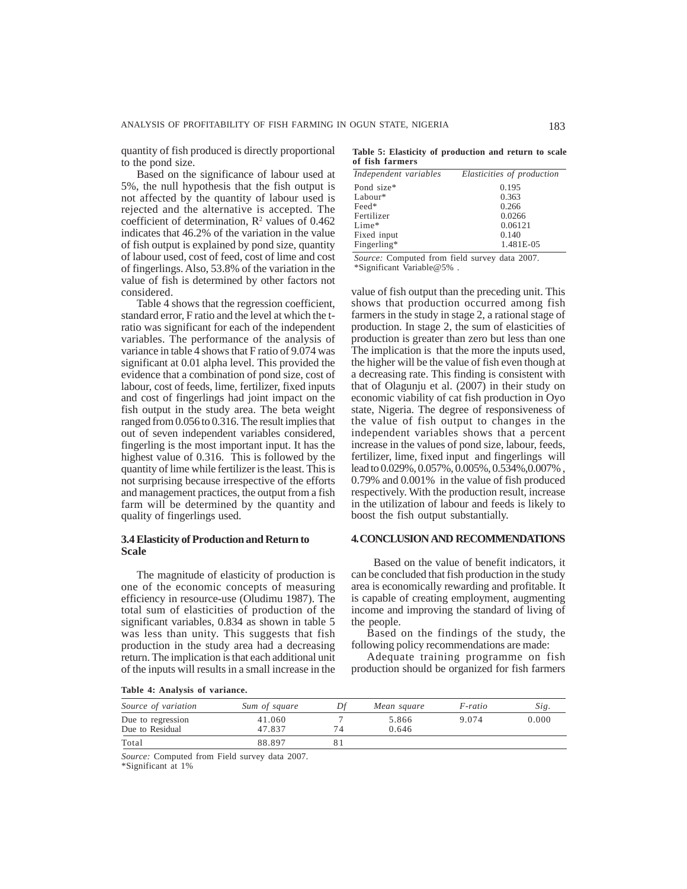quantity of fish produced is directly proportional to the pond size.

Based on the significance of labour used at 5%, the null hypothesis that the fish output is not affected by the quantity of labour used is rejected and the alternative is accepted. The coefficient of determination,  $\mathbb{R}^2$  values of 0.462 indicates that 46.2% of the variation in the value of fish output is explained by pond size, quantity of labour used, cost of feed, cost of lime and cost of fingerlings. Also, 53.8% of the variation in the value of fish is determined by other factors not considered.

Table 4 shows that the regression coefficient, standard error, F ratio and the level at which the tratio was significant for each of the independent variables. The performance of the analysis of variance in table 4 shows that F ratio of 9.074 was significant at 0.01 alpha level. This provided the evidence that a combination of pond size, cost of labour, cost of feeds, lime, fertilizer, fixed inputs and cost of fingerlings had joint impact on the fish output in the study area. The beta weight ranged from 0.056 to 0.316. The result implies that out of seven independent variables considered, fingerling is the most important input. It has the highest value of 0.316. This is followed by the quantity of lime while fertilizer is the least. This is not surprising because irrespective of the efforts and management practices, the output from a fish farm will be determined by the quantity and quality of fingerlings used.

## **3.4 Elasticity of Production and Return to Scale**

The magnitude of elasticity of production is one of the economic concepts of measuring efficiency in resource-use (Oludimu 1987). The total sum of elasticities of production of the significant variables, 0.834 as shown in table 5 was less than unity. This suggests that fish production in the study area had a decreasing return. The implication is that each additional unit of the inputs will results in a small increase in the

**Table 5: Elasticity of production and return to scale of fish farmers**

| Independent variables | Elasticities of production |
|-----------------------|----------------------------|
| Pond size*            | 0.195                      |
| $Labour*$             | 0.363                      |
| Feed*                 | 0.266                      |
| Fertilizer            | 0.0266                     |
| $Line*$               | 0.06121                    |
| Fixed input           | 0.140                      |
| Fingerling*           | 1.481E-05                  |

*Source:* Computed from field survey data 2007. \*Significant Variable@5% .

value of fish output than the preceding unit. This shows that production occurred among fish farmers in the study in stage 2, a rational stage of production. In stage 2, the sum of elasticities of production is greater than zero but less than one The implication is that the more the inputs used, the higher will be the value of fish even though at a decreasing rate. This finding is consistent with that of Olagunju et al. (2007) in their study on economic viability of cat fish production in Oyo state, Nigeria. The degree of responsiveness of the value of fish output to changes in the independent variables shows that a percent increase in the values of pond size, labour, feeds, fertilizer, lime, fixed input and fingerlings will lead to 0.029%, 0.057%, 0.005%, 0.534%,0.007% , 0.79% and 0.001% in the value of fish produced respectively. With the production result, increase in the utilization of labour and feeds is likely to boost the fish output substantially.

### **4. CONCLUSION AND RECOMMENDATIONS**

 Based on the value of benefit indicators, it can be concluded that fish production in the study area is economically rewarding and profitable. It is capable of creating employment, augmenting income and improving the standard of living of the people.

Based on the findings of the study, the following policy recommendations are made:

Adequate training programme on fish production should be organized for fish farmers

**Table 4: Analysis of variance.**

| Source of variation                  | Sum of square    | Df | Mean square    | F-ratio | Sig.  |
|--------------------------------------|------------------|----|----------------|---------|-------|
| Due to regression<br>Due to Residual | 41.060<br>47.837 |    | 5.866<br>0.646 | 9.074   | 0.000 |
| Total                                | 88.897           |    |                |         |       |

*Source:* Computed from Field survey data 2007.

\*Significant at 1%